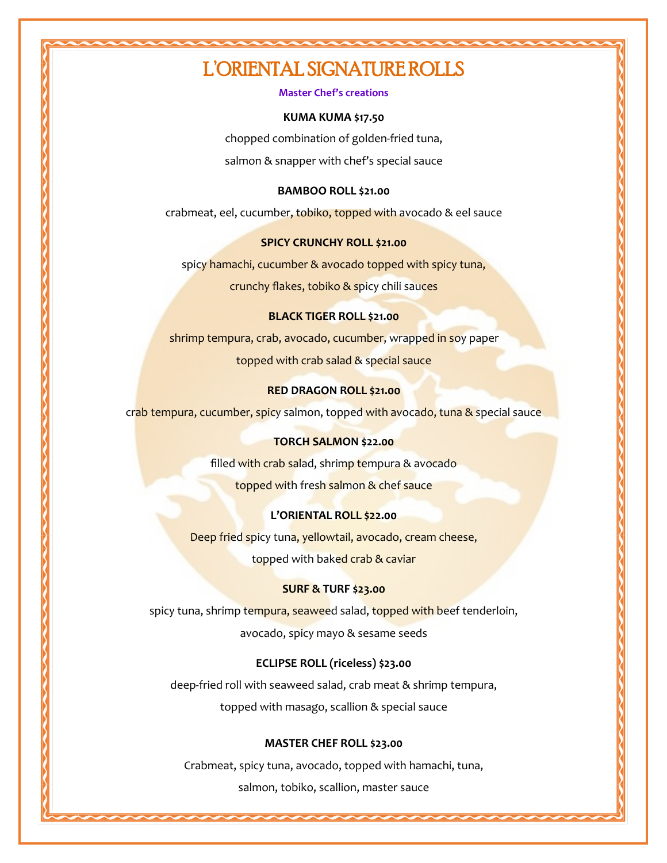## L'ORIENTAL SIGNATURE ROLLS

#### **Master Chef's creations**

#### **KUMA KUMA \$17.50**

chopped combination of golden-fried tuna, salmon & snapper with chef's special sauce

#### **BAMBOO ROLL \$21.00**

crabmeat, eel, cucumber, tobiko, topped with avocado & eel sauce

### **SPICY CRUNCHY ROLL \$21.00**

spicy hamachi, cucumber & avocado topped with spicy tuna,

crunchy flakes, tobiko & spicy chili sauces

#### **BLACK TIGER ROLL \$21.00**

shrimp tempura, crab, avocado, cucumber, wrapped in soy paper topped with crab salad & special sauce

### **RED DRAGON ROLL \$21.00**

crab tempura, cucumber, spicy salmon, topped with avocado, tuna & special sauce

#### **TORCH SALMON \$22.00**

filled with crab salad, shrimp tempura & avocado

topped with fresh salmon & chef sauce

### **L'ORIENTAL ROLL \$22.00**

Deep fried spicy tuna, yellowtail, avocado, cream cheese, topped with baked crab & caviar

#### **SURF & TURF \$23.00**

spicy tuna, shrimp tempura, seaweed salad, topped with beef tenderloin, avocado, spicy mayo & sesame seeds

### **ECLIPSE ROLL (riceless) \$23.00**

deep-fried roll with seaweed salad, crab meat & shrimp tempura, topped with masago, scallion & special sauce

### **MASTER CHEF ROLL \$23.00**

Crabmeat, spicy tuna, avocado, topped with hamachi, tuna, salmon, tobiko, scallion, master sauce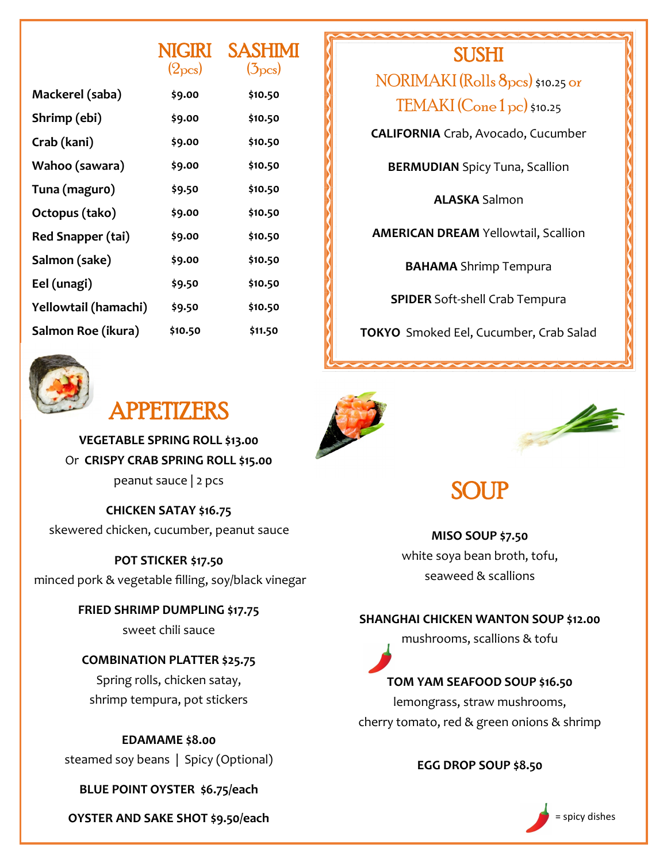|                          | <b>NIGIRI</b>       | <b>SASHIMI</b>      |
|--------------------------|---------------------|---------------------|
|                          | (2 <sub>pcs</sub> ) | (5 <sub>pcs</sub> ) |
| Mackerel (saba)          | \$9.00              | \$10.50             |
| Shrimp (ebi)             | \$9.00              | \$10.50             |
| Crab (kani)              | \$9.00              | \$10.50             |
| Wahoo (sawara)           | \$9.00              | \$10.50             |
| Tuna (maguro)            | \$9.50              | \$10.50             |
| Octopus (tako)           | \$9.00              | \$10.50             |
| <b>Red Snapper (tai)</b> | \$9.00              | \$10.50             |
| Salmon (sake)            | \$9.00              | \$10.50             |
| Eel (unagi)              | \$9.50              | \$10.50             |
| Yellowtail (hamachi)     | \$9.50              | \$10.50             |
| Salmon Roe (ikura)       | \$10.50             | \$11.50             |

**SUSHI** 

NORIMAKI (Rolls 8pcs) \$10.25 or TEMAKI (Cone 1 pc) \$10.25

**CALIFORNIA** Crab, Avocado, Cucumber

**BERMUDIAN** Spicy Tuna, Scallion

**ALASKA** Salmon

**AMERICAN DREAM** Yellowtail, Scallion

**BAHAMA** Shrimp Tempura

**SPIDER** Soft-shell Crab Tempura

**TOKYO** Smoked Eel, Cucumber, Crab Salad



# APPETIZERS

**VEGETABLE SPRING ROLL \$13.00** Or **CRISPY CRAB SPRING ROLL \$15.00** peanut sauce | 2 pcs

**CHICKEN SATAY \$16.75** skewered chicken, cucumber, peanut sauce

**POT STICKER \$17.50** minced pork & vegetable filling, soy/black vinegar

> **FRIED SHRIMP DUMPLING \$17.75** sweet chili sauce

## **COMBINATION PLATTER \$25.75** Spring rolls, chicken satay, shrimp tempura, pot stickers

**EDAMAME \$8.00** steamed soy beans | Spicy (Optional)

**BLUE POINT OYSTER \$6.75/each**

**OYSTER AND SAKE SHOT \$9.50/each** = **Second 2008 30 Second 2009 30 Second 2009 30 Second 30 Second 30 Second 30 Second 30 Second 30 Second 30 Second 30 Second 30 Second 30 Second 30 Second 30 Second 30 Second 30 Second 30** 





# SOI **IP**

**MISO SOUP \$7.50** white soya bean broth, tofu, seaweed & scallions

### **SHANGHAI CHICKEN WANTON SOUP \$12.00**

mushrooms, scallions & tofu

### **TOM YAM SEAFOOD SOUP \$16.50**

lemongrass, straw mushrooms, cherry tomato, red & green onions & shrimp

### **EGG DROP SOUP \$8.50**

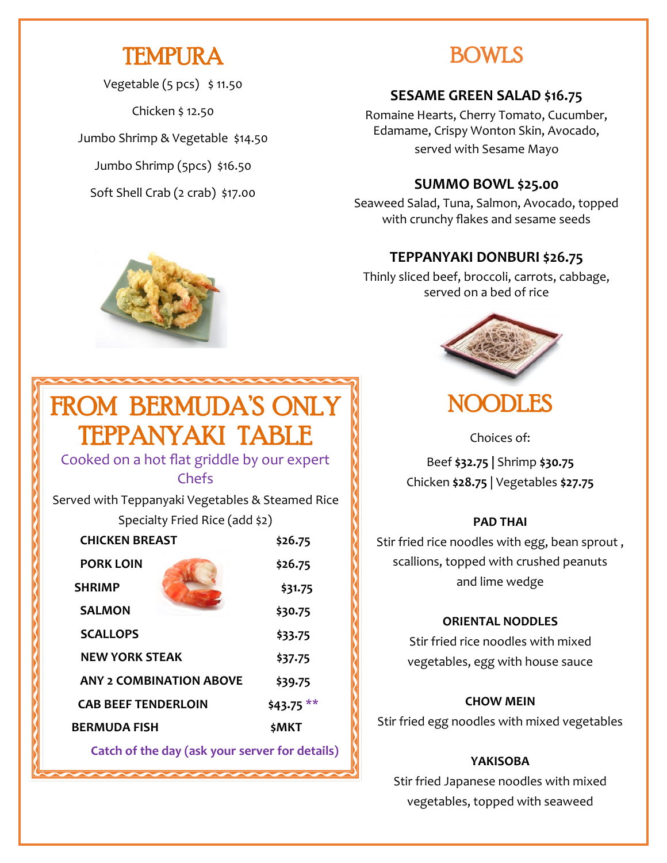# TEMPURA

Vegetable  $(5 pcs)$  \$ 11.50

Chicken \$ 12.50

Jumbo Shrimp & Vegetable \$14.50

Jumbo Shrimp (5pcs) \$16.50

Soft Shell Crab (2 crab) \$17.00

## BOWLS

## **SESAME GREEN SALAD \$16.75**

Romaine Hearts, Cherry Tomato, Cucumber, Edamame, Crispy Wonton Skin, Avocado, served with Sesame Mayo

## **SUMMO BOWL \$25.00**

Seaweed Salad, Tuna, Salmon, Avocado, topped with crunchy flakes and sesame seeds

## **TEPPANYAKI DONBURI \$26.75**

Thinly sliced beef, broccoli, carrots, cabbage, served on a bed of rice



## NOODLES

Choices of:

Beef **\$32.75 |** Shrimp **\$30.75** Chicken **\$28.75** | Vegetables **\$27.75**

### **PAD THAI**

Stir fried rice noodles with egg, bean sprout , scallions, topped with crushed peanuts and lime wedge

### **ORIENTAL NODDLES**

Stir fried rice noodles with mixed vegetables, egg with house sauce

### **CHOW MEIN**

Stir fried egg noodles with mixed vegetables

### **YAKISOBA**

Stir fried Japanese noodles with mixed vegetables, topped with seaweed



# FROM BERMUDA'S ONLY TEPPANYAKI TABLE

### Cooked on a hot flat griddle by our expert Chefs

Served with Teppanyaki Vegetables & Steamed Rice

Specialty Fried Rice (add \$2)

| <b>CHICKEN BREAST</b>          | \$26.75      |
|--------------------------------|--------------|
| <b>PORK LOIN</b>               | \$26.75      |
| <b>SHRIMP</b>                  | \$31.75      |
| <b>SALMON</b>                  | \$30.75      |
| <b>SCALLOPS</b>                | \$33.75      |
| <b>NEW YORK STEAK</b>          | \$37.75      |
| <b>ANY 2 COMBINATION ABOVE</b> | \$39.75      |
| <b>CAB BEEF TENDERLOIN</b>     | \$43.75 $**$ |
| <b>BERMUDA FISH</b>            | \$MKT        |
|                                |              |

 **Catch of the day (ask your server for details)**